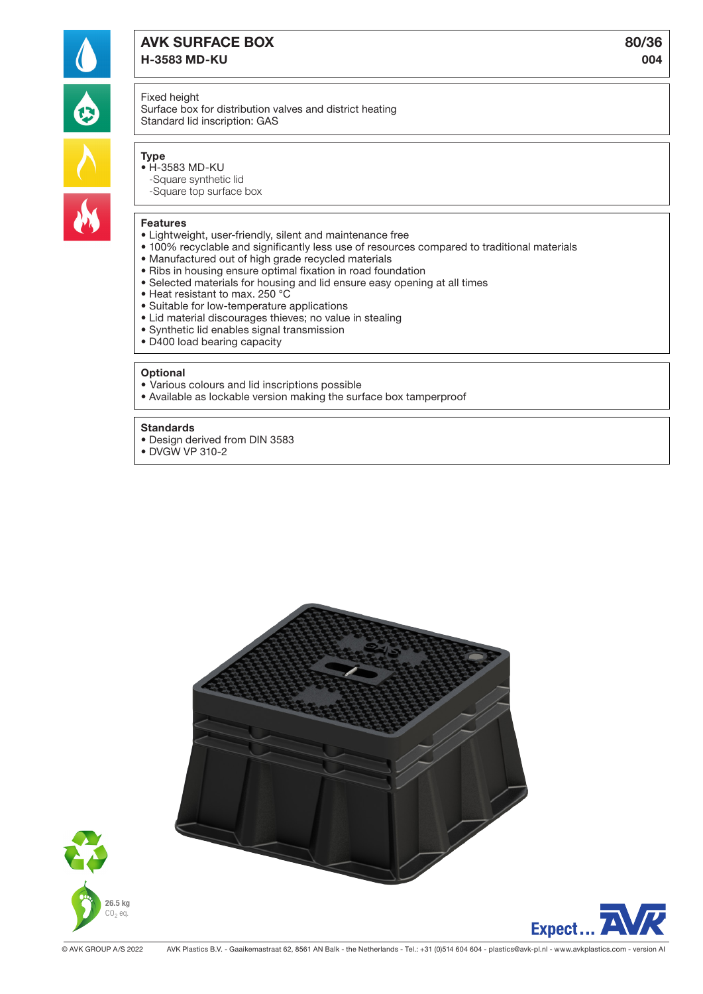

# AVK SURFACE BOX 80/36 H-3583 MD-KU 004

## Fixed height

Surface box for distribution valves and district heating Standard lid inscription: GAS

# Type

- H-3583 MD-KU -Square synthetic lid
	- -Square top surface box

# Features

- Lightweight, user-friendly, silent and maintenance free
- 100% recyclable and significantly less use of resources compared to traditional materials
- Manufactured out of high grade recycled materials
- Ribs in housing ensure optimal fixation in road foundation
- Selected materials for housing and lid ensure easy opening at all times
- Heat resistant to max. 250 °C
- Suitable for low-temperature applications
- Lid material discourages thieves; no value in stealing
- Synthetic lid enables signal transmission
- D400 load bearing capacity

#### **Optional**

- Various colours and lid inscriptions possible
- Available as lockable version making the surface box tamperproof

#### **Standards**

- Design derived from DIN 3583
- DVGW VP 310-2





Expect..